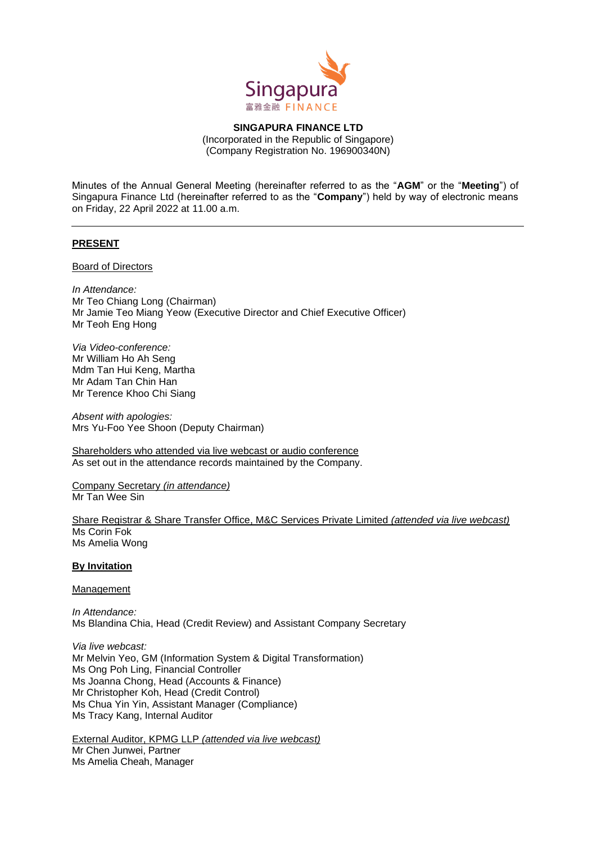

**SINGAPURA FINANCE LTD** (Incorporated in the Republic of Singapore) (Company Registration No. 196900340N)

Minutes of the Annual General Meeting (hereinafter referred to as the "**AGM**" or the "**Meeting**") of Singapura Finance Ltd (hereinafter referred to as the "**Company**") held by way of electronic means on Friday, 22 April 2022 at 11.00 a.m.

## **PRESENT**

Board of Directors

*In Attendance:*  Mr Teo Chiang Long (Chairman) Mr Jamie Teo Miang Yeow (Executive Director and Chief Executive Officer) Mr Teoh Eng Hong

*Via Video-conference:* Mr William Ho Ah Seng Mdm Tan Hui Keng, Martha Mr Adam Tan Chin Han Mr Terence Khoo Chi Siang

*Absent with apologies:* Mrs Yu-Foo Yee Shoon (Deputy Chairman)

Shareholders who attended via live webcast or audio conference As set out in the attendance records maintained by the Company.

Company Secretary *(in attendance)* Mr Tan Wee Sin

Share Registrar & Share Transfer Office, M&C Services Private Limited *(attended via live webcast)* Ms Corin Fok Ms Amelia Wong

#### **By Invitation**

#### Management

*In Attendance:*  Ms Blandina Chia, Head (Credit Review) and Assistant Company Secretary

*Via live webcast:* Mr Melvin Yeo, GM (Information System & Digital Transformation) Ms Ong Poh Ling, Financial Controller Ms Joanna Chong, Head (Accounts & Finance) Mr Christopher Koh, Head (Credit Control) Ms Chua Yin Yin, Assistant Manager (Compliance) Ms Tracy Kang, Internal Auditor

External Auditor, KPMG LLP *(attended via live webcast)* Mr Chen Junwei, Partner Ms Amelia Cheah, Manager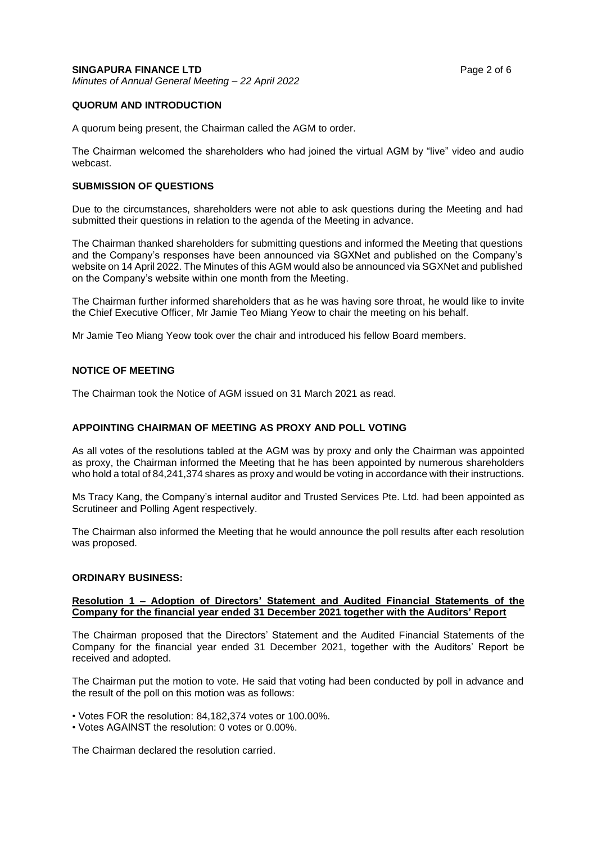## **QUORUM AND INTRODUCTION**

A quorum being present, the Chairman called the AGM to order.

The Chairman welcomed the shareholders who had joined the virtual AGM by "live" video and audio webcast.

### **SUBMISSION OF QUESTIONS**

Due to the circumstances, shareholders were not able to ask questions during the Meeting and had submitted their questions in relation to the agenda of the Meeting in advance.

The Chairman thanked shareholders for submitting questions and informed the Meeting that questions and the Company's responses have been announced via SGXNet and published on the Company's website on 14 April 2022. The Minutes of this AGM would also be announced via SGXNet and published on the Company's website within one month from the Meeting.

The Chairman further informed shareholders that as he was having sore throat, he would like to invite the Chief Executive Officer, Mr Jamie Teo Miang Yeow to chair the meeting on his behalf.

Mr Jamie Teo Miang Yeow took over the chair and introduced his fellow Board members.

# **NOTICE OF MEETING**

The Chairman took the Notice of AGM issued on 31 March 2021 as read.

### **APPOINTING CHAIRMAN OF MEETING AS PROXY AND POLL VOTING**

As all votes of the resolutions tabled at the AGM was by proxy and only the Chairman was appointed as proxy, the Chairman informed the Meeting that he has been appointed by numerous shareholders who hold a total of 84,241,374 shares as proxy and would be voting in accordance with their instructions.

Ms Tracy Kang, the Company's internal auditor and Trusted Services Pte. Ltd. had been appointed as Scrutineer and Polling Agent respectively.

The Chairman also informed the Meeting that he would announce the poll results after each resolution was proposed.

### **ORDINARY BUSINESS:**

### **Resolution 1 – Adoption of Directors' Statement and Audited Financial Statements of the Company for the financial year ended 31 December 2021 together with the Auditors' Report**

The Chairman proposed that the Directors' Statement and the Audited Financial Statements of the Company for the financial year ended 31 December 2021, together with the Auditors' Report be received and adopted.

The Chairman put the motion to vote. He said that voting had been conducted by poll in advance and the result of the poll on this motion was as follows:

• Votes FOR the resolution: 84,182,374 votes or 100.00%.

• Votes AGAINST the resolution: 0 votes or 0.00%.

The Chairman declared the resolution carried.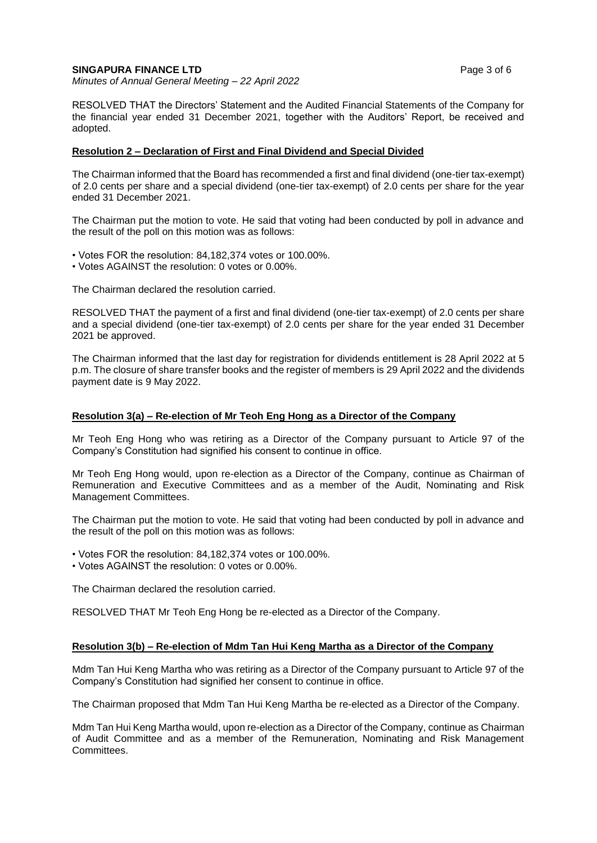### **SINGAPURA FINANCE LTD Page 3 of 6**

*Minutes of Annual General Meeting – 22 April 2022*

RESOLVED THAT the Directors' Statement and the Audited Financial Statements of the Company for the financial year ended 31 December 2021, together with the Auditors' Report, be received and adopted.

### **Resolution 2 – Declaration of First and Final Dividend and Special Divided**

The Chairman informed that the Board has recommended a first and final dividend (one-tier tax-exempt) of 2.0 cents per share and a special dividend (one-tier tax-exempt) of 2.0 cents per share for the year ended 31 December 2021.

The Chairman put the motion to vote. He said that voting had been conducted by poll in advance and the result of the poll on this motion was as follows:

• Votes FOR the resolution: 84,182,374 votes or 100.00%.

• Votes AGAINST the resolution: 0 votes or 0.00%.

The Chairman declared the resolution carried.

RESOLVED THAT the payment of a first and final dividend (one-tier tax-exempt) of 2.0 cents per share and a special dividend (one-tier tax-exempt) of 2.0 cents per share for the year ended 31 December 2021 be approved.

The Chairman informed that the last day for registration for dividends entitlement is 28 April 2022 at 5 p.m. The closure of share transfer books and the register of members is 29 April 2022 and the dividends payment date is 9 May 2022.

#### **Resolution 3(a) – Re-election of Mr Teoh Eng Hong as a Director of the Company**

Mr Teoh Eng Hong who was retiring as a Director of the Company pursuant to Article 97 of the Company's Constitution had signified his consent to continue in office.

Mr Teoh Eng Hong would, upon re-election as a Director of the Company, continue as Chairman of Remuneration and Executive Committees and as a member of the Audit, Nominating and Risk Management Committees.

The Chairman put the motion to vote. He said that voting had been conducted by poll in advance and the result of the poll on this motion was as follows:

• Votes FOR the resolution: 84,182,374 votes or 100.00%.

• Votes AGAINST the resolution: 0 votes or 0.00%.

The Chairman declared the resolution carried.

RESOLVED THAT Mr Teoh Eng Hong be re-elected as a Director of the Company.

### **Resolution 3(b) – Re-election of Mdm Tan Hui Keng Martha as a Director of the Company**

Mdm Tan Hui Keng Martha who was retiring as a Director of the Company pursuant to Article 97 of the Company's Constitution had signified her consent to continue in office.

The Chairman proposed that Mdm Tan Hui Keng Martha be re-elected as a Director of the Company.

Mdm Tan Hui Keng Martha would, upon re-election as a Director of the Company, continue as Chairman of Audit Committee and as a member of the Remuneration, Nominating and Risk Management Committees.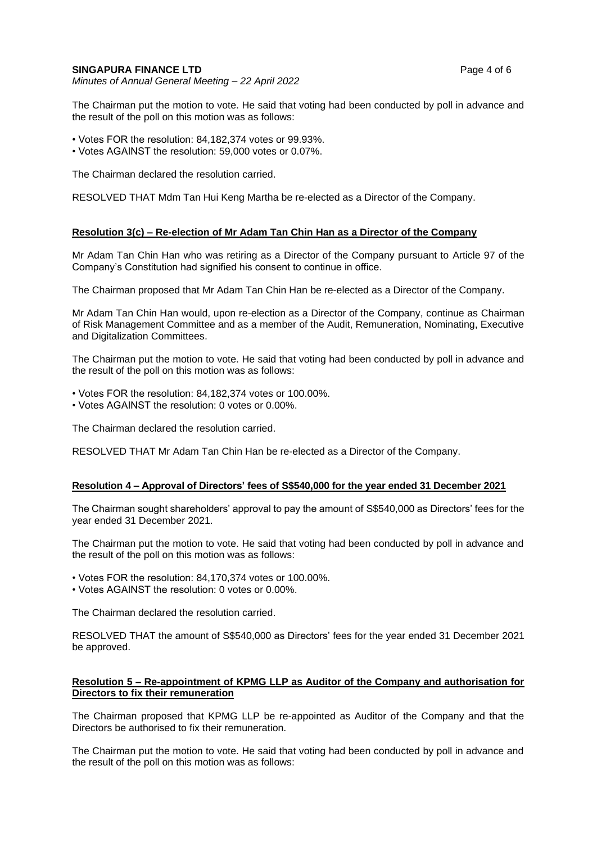#### **SINGAPURA FINANCE LTD Page 4 of 6**

*Minutes of Annual General Meeting – 22 April 2022*

The Chairman put the motion to vote. He said that voting had been conducted by poll in advance and the result of the poll on this motion was as follows:

- Votes FOR the resolution: 84,182,374 votes or 99.93%.
- Votes AGAINST the resolution: 59,000 votes or 0.07%.

The Chairman declared the resolution carried.

RESOLVED THAT Mdm Tan Hui Keng Martha be re-elected as a Director of the Company.

### **Resolution 3(c) – Re-election of Mr Adam Tan Chin Han as a Director of the Company**

Mr Adam Tan Chin Han who was retiring as a Director of the Company pursuant to Article 97 of the Company's Constitution had signified his consent to continue in office.

The Chairman proposed that Mr Adam Tan Chin Han be re-elected as a Director of the Company.

Mr Adam Tan Chin Han would, upon re-election as a Director of the Company, continue as Chairman of Risk Management Committee and as a member of the Audit, Remuneration, Nominating, Executive and Digitalization Committees.

The Chairman put the motion to vote. He said that voting had been conducted by poll in advance and the result of the poll on this motion was as follows:

- Votes FOR the resolution: 84,182,374 votes or 100.00%.
- Votes AGAINST the resolution: 0 votes or 0.00%.

The Chairman declared the resolution carried.

RESOLVED THAT Mr Adam Tan Chin Han be re-elected as a Director of the Company.

### **Resolution 4 – Approval of Directors' fees of S\$540,000 for the year ended 31 December 2021**

The Chairman sought shareholders' approval to pay the amount of S\$540,000 as Directors' fees for the year ended 31 December 2021.

The Chairman put the motion to vote. He said that voting had been conducted by poll in advance and the result of the poll on this motion was as follows:

• Votes FOR the resolution: 84,170,374 votes or 100.00%.

• Votes AGAINST the resolution: 0 votes or 0.00%.

The Chairman declared the resolution carried.

RESOLVED THAT the amount of S\$540,000 as Directors' fees for the year ended 31 December 2021 be approved.

## **Resolution 5 – Re-appointment of KPMG LLP as Auditor of the Company and authorisation for Directors to fix their remuneration**

The Chairman proposed that KPMG LLP be re-appointed as Auditor of the Company and that the Directors be authorised to fix their remuneration.

The Chairman put the motion to vote. He said that voting had been conducted by poll in advance and the result of the poll on this motion was as follows: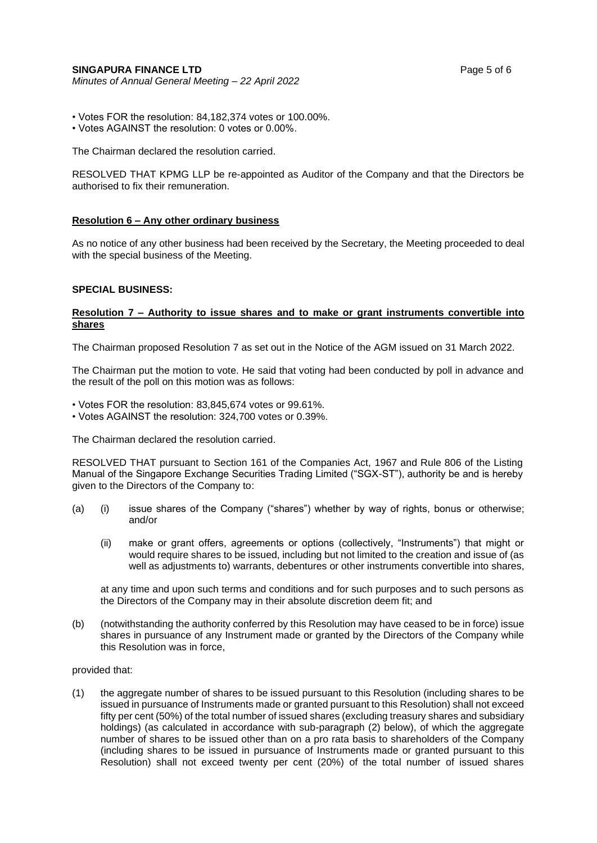## **SINGAPURA FINANCE LTD Page 5 of 6**

*Minutes of Annual General Meeting – 22 April 2022*

• Votes FOR the resolution: 84,182,374 votes or 100.00%.

• Votes AGAINST the resolution: 0 votes or 0.00%.

The Chairman declared the resolution carried.

RESOLVED THAT KPMG LLP be re-appointed as Auditor of the Company and that the Directors be authorised to fix their remuneration.

## **Resolution 6 – Any other ordinary business**

As no notice of any other business had been received by the Secretary, the Meeting proceeded to deal with the special business of the Meeting.

## **SPECIAL BUSINESS:**

## **Resolution 7 – Authority to issue shares and to make or grant instruments convertible into shares**

The Chairman proposed Resolution 7 as set out in the Notice of the AGM issued on 31 March 2022.

The Chairman put the motion to vote. He said that voting had been conducted by poll in advance and the result of the poll on this motion was as follows:

- Votes FOR the resolution: 83,845,674 votes or 99.61%.
- Votes AGAINST the resolution: 324,700 votes or 0.39%.

The Chairman declared the resolution carried.

RESOLVED THAT pursuant to Section 161 of the Companies Act, 1967 and Rule 806 of the Listing Manual of the Singapore Exchange Securities Trading Limited ("SGX-ST"), authority be and is hereby given to the Directors of the Company to:

- (a) (i) issue shares of the Company ("shares") whether by way of rights, bonus or otherwise; and/or
	- (ii) make or grant offers, agreements or options (collectively, "Instruments") that might or would require shares to be issued, including but not limited to the creation and issue of (as well as adjustments to) warrants, debentures or other instruments convertible into shares,

at any time and upon such terms and conditions and for such purposes and to such persons as the Directors of the Company may in their absolute discretion deem fit; and

(b) (notwithstanding the authority conferred by this Resolution may have ceased to be in force) issue shares in pursuance of any Instrument made or granted by the Directors of the Company while this Resolution was in force,

provided that:

(1) the aggregate number of shares to be issued pursuant to this Resolution (including shares to be issued in pursuance of Instruments made or granted pursuant to this Resolution) shall not exceed fifty per cent (50%) of the total number of issued shares (excluding treasury shares and subsidiary holdings) (as calculated in accordance with sub-paragraph (2) below), of which the aggregate number of shares to be issued other than on a pro rata basis to shareholders of the Company (including shares to be issued in pursuance of Instruments made or granted pursuant to this Resolution) shall not exceed twenty per cent (20%) of the total number of issued shares